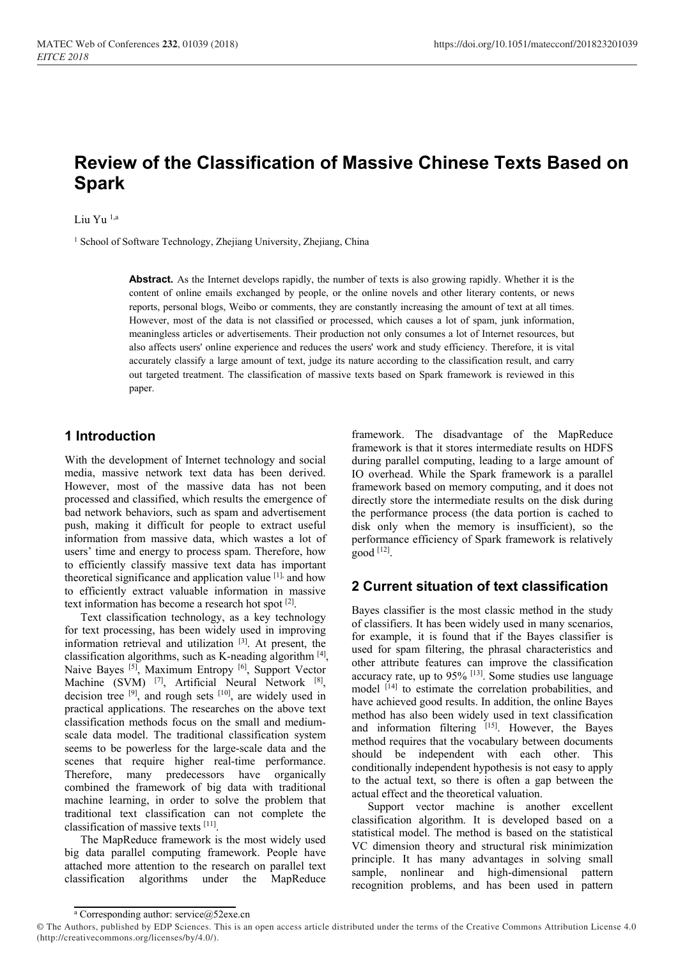# **Review of the Classification of Massive Chinese Texts Based on Spark**

Liu Yu 1,a

<sup>1</sup> School of Software Technology, Zhejiang University, Zhejiang, China

**Abstract.** As the Internet develops rapidly, the number of texts is also growing rapidly. Whether it is the content of online emails exchanged by people, or the online novels and other literary contents, or news reports, personal blogs, Weibo or comments, they are constantly increasing the amount of text at all times. However, most of the data is not classified or processed, which causes a lot of spam, junk information, meaningless articles or advertisements. Their production not only consumes a lot of Internet resources, but also affects users' online experience and reduces the users' work and study efficiency. Therefore, it is vital accurately classify a large amount of text, judge its nature according to the classification result, and carry out targeted treatment. The classification of massive texts based on Spark framework is reviewed in this paper.

## **1 Introduction**

With the development of Internet technology and social media, massive network text data has been derived. However, most of the massive data has not been processed and classified, which results the emergence of bad network behaviors, such as spam and advertisement push, making it difficult for people to extract useful information from massive data, which wastes a lot of users' time and energy to process spam. Therefore, how to efficiently classify massive text data has important theoretical significance and application value [1], and how to efficiently extract valuable information in massive text information has become a research hot spot [2].

Text classification technology, as a key technology for text processing, has been widely used in improving information retrieval and utilization [3]. At present, the classification algorithms, such as K-neading algorithm  $[4]$ , Naive Bayes [5], Maximum Entropy [6], Support Vector Machine (SVM) <sup>[7]</sup>, Artificial Neural Network <sup>[8]</sup>, decision tree  $[9]$ , and rough sets  $[10]$ , are widely used in practical applications. The researches on the above text classification methods focus on the small and mediumscale data model. The traditional classification system seems to be powerless for the large-scale data and the scenes that require higher real-time performance. Therefore, many predecessors have organically combined the framework of big data with traditional machine learning, in order to solve the problem that traditional text classification can not complete the classification of massive texts [11].

The MapReduce framework is the most widely used big data parallel computing framework. People have attached more attention to the research on parallel text classification algorithms under the MapReduce

framework. The disadvantage of the MapReduce framework is that it stores intermediate results on HDFS during parallel computing, leading to a large amount of IO overhead. While the Spark framework is a parallel framework based on memory computing, and it does not directly store the intermediate results on the disk during the performance process (the data portion is cached to disk only when the memory is insufficient), so the performance efficiency of Spark framework is relatively good [12].

## **2 Current situation of text classification**

Bayes classifier is the most classic method in the study of classifiers. It has been widely used in many scenarios, for example, it is found that if the Bayes classifier is used for spam filtering, the phrasal characteristics and other attribute features can improve the classification accuracy rate, up to  $95\%$  <sup>[13]</sup>. Some studies use language model <sup>[14]</sup> to estimate the correlation probabilities, and have achieved good results. In addition, the online Bayes method has also been widely used in text classification and information filtering [15]. However, the Bayes method requires that the vocabulary between documents should be independent with each other. This conditionally independent hypothesis is not easy to apply to the actual text, so there is often a gap between the actual effect and the theoretical valuation.

Support vector machine is another excellent classification algorithm. It is developed based on a statistical model. The method is based on the statistical VC dimension theory and structural risk minimization principle. It has many advantages in solving small sample, nonlinear and high-dimensional pattern recognition problems, and has been used in pattern

<sup>&</sup>lt;sup>a</sup> Corresponding author: service@52exe.cn

<sup>©</sup> The Authors, published by EDP Sciences. This is an open access article distributed under the terms of the Creative Commons Attribution License 4.0 (http://creativecommons.org/licenses/by/4.0/).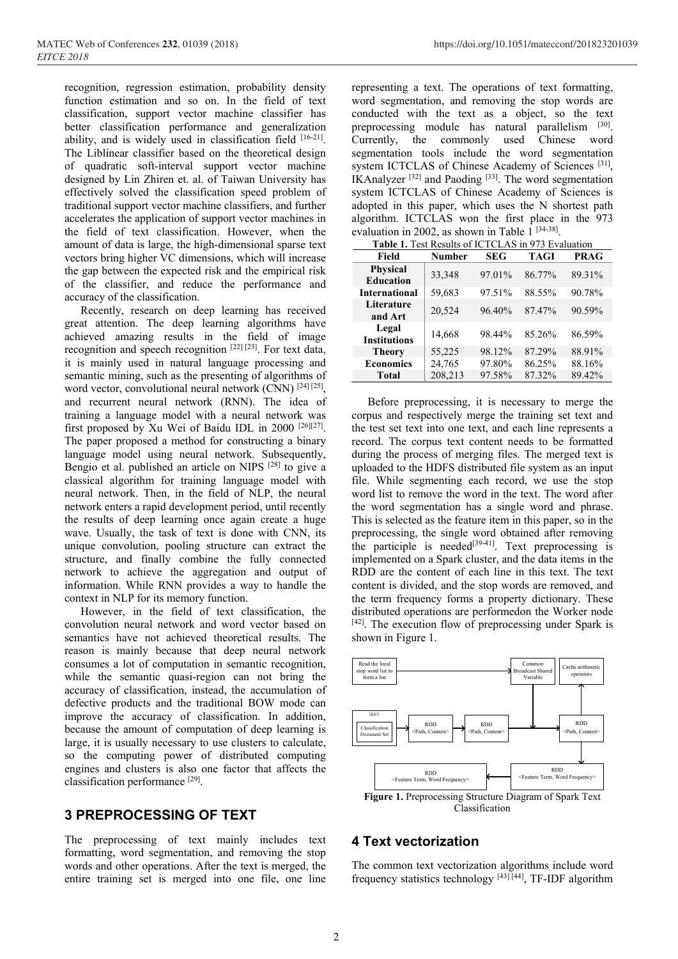recognition, regression estimation, probability density function estimation and so on. In the field of text classification, support vector machine classifier has better classification performance and generalization ability, and is widely used in classification field  $[16-21]$ . The Liblinear classifier based on the theoretical design of quadratic soft-interval support vector machine designed by Lin Zhiren et. al. of Taiwan University has effectively solved the classification speed problem of traditional support vector machine classifiers, and further accelerates the application of support vector machines in the field of text classification. However, when the amount of data is large, the high-dimensional sparse text vectors bring higher VC dimensions, which will increase the gap between the expected risk and the empirical risk of the classifier, and reduce the performance and accuracy of the classification.

Recently, research on deep learning has received great attention. The deep learning algorithms have achieved amazing results in the field of image recognition and speech recognition [22] [23]. For text data, it is mainly used in natural language processing and semantic mining, such as the presenting of algorithms of word vector, convolutional neural network (CNN) [24] [25], and recurrent neural network (RNN). The idea of training a language model with a neural network was first proposed by Xu Wei of Baidu IDL in 2000 [26][27]. The paper proposed a method for constructing a binary language model using neural network. Subsequently, Bengio et al. published an article on NIPS [28] to give a classical algorithm for training language model with neural network. Then, in the field of NLP, the neural network enters a rapid development period, until recently the results of deep learning once again create a huge wave. Usually, the task of text is done with CNN, its unique convolution, pooling structure can extract the structure, and finally combine the fully connected network to achieve the aggregation and output of information. While RNN provides a way to handle the context in NLP for its memory function.

However, in the field of text classification, the convolution neural network and word vector based on semantics have not achieved theoretical results. The reason is mainly because that deep neural network consumes a lot of computation in semantic recognition, while the semantic quasi-region can not bring the accuracy of classification, instead, the accumulation of defective products and the traditional BOW mode can improve the accuracy of classification. In addition, because the amount of computation of deep learning is large, it is usually necessary to use clusters to calculate, so the computing power of distributed computing engines and clusters is also one factor that affects the classification performance [29].

#### **3 PREPROCESSING OF TEXT**

The preprocessing of text mainly includes text formatting, word segmentation, and removing the stop words and other operations. After the text is merged, the entire training set is merged into one file, one line

representing a text. The operations of text formatting, word segmentation, and removing the stop words are conducted with the text as a object, so the text preprocessing module has natural parallelism [30]. Currently, the commonly used Chinese word segmentation tools include the word segmentation system ICTCLAS of Chinese Academy of Sciences [31], IKAnalyzer  $[32]$  and Paoding  $[33]$ . The word segmentation system ICTCLAS of Chinese Academy of Sciences is adopted in this paper, which uses the N shortest path algorithm. ICTCLAS won the first place in the 973 evaluation in 2002, as shown in Table 1<sup>[34-38]</sup>.

| <b>Table 1.</b> Test Results of ICTCLAS in 973 Evaluation |               |            |             |             |
|-----------------------------------------------------------|---------------|------------|-------------|-------------|
| Field                                                     | <b>Number</b> | <b>SEG</b> | <b>TAGI</b> | <b>PRAG</b> |
| <b>Physical</b><br><b>Education</b>                       | 33,348        | 97.01%     | 86.77%      | 89.31%      |
| <b>International</b>                                      | 59,683        | 97.51%     | 88.55%      | 90.78%      |
| Literature<br>and Art                                     | 20,524        | 96.40%     | 87.47%      | 90.59%      |
| Legal<br><b>Institutions</b>                              | 14,668        | 98.44%     | 85.26%      | 86.59%      |
| <b>Theory</b>                                             | 55,225        | 98.12%     | 87.29%      | 88.91%      |
| <b>Economics</b>                                          | 24,765        | 97.80%     | 86.25%      | 88.16%      |
| <b>Total</b>                                              | 208,213       | 97.58%     | 87.32%      | 89.42%      |

Before preprocessing, it is necessary to merge the corpus and respectively merge the training set text and the test set text into one text, and each line represents a record. The corpus text content needs to be formatted during the process of merging files. The merged text is uploaded to the HDFS distributed file system as an input file. While segmenting each record, we use the stop word list to remove the word in the text. The word after the word segmentation has a single word and phrase. This is selected as the feature item in this paper, so in the preprocessing, the single word obtained after removing the participle is needed<sup>[39-41]</sup>. Text preprocessing is implemented on a Spark cluster, and the data items in the RDD are the content of each line in this text. The text content is divided, and the stop words are removed, and the term frequency forms a property dictionary. These distributed operations are performedon the Worker node [42]. The execution flow of preprocessing under Spark is shown in Figure 1.



#### **4 Text vectorization**

The common text vectorization algorithms include word frequency statistics technology [43] [44], TF-IDF algorithm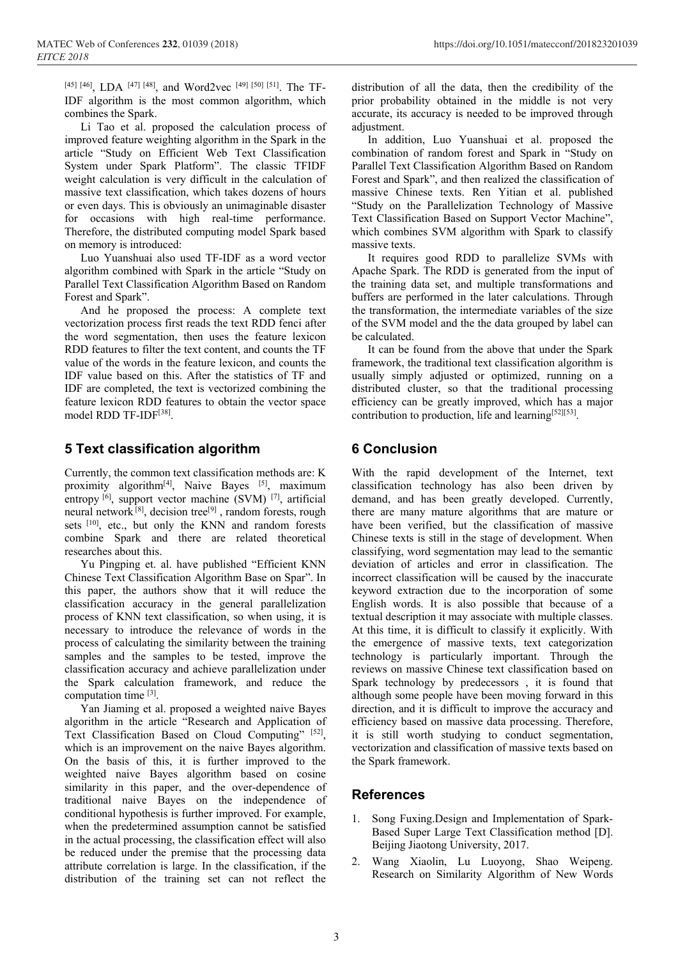[45] [46], LDA [47] [48], and Word2vec [49] [50] [51]. The TF-IDF algorithm is the most common algorithm, which combines the Spark.

Li Tao et al. proposed the calculation process of improved feature weighting algorithm in the Spark in the article "Study on Efficient Web Text Classification System under Spark Platform". The classic TFIDF weight calculation is very difficult in the calculation of massive text classification, which takes dozens of hours or even days. This is obviously an unimaginable disaster for occasions with high real-time performance. Therefore, the distributed computing model Spark based on memory is introduced:

Luo Yuanshuai also used TF-IDF as a word vector algorithm combined with Spark in the article "Study on Parallel Text Classification Algorithm Based on Random Forest and Spark".

And he proposed the process: A complete text vectorization process first reads the text RDD fenci after the word segmentation, then uses the feature lexicon RDD features to filter the text content, and counts the TF value of the words in the feature lexicon, and counts the IDF value based on this. After the statistics of TF and IDF are completed, the text is vectorized combining the feature lexicon RDD features to obtain the vector space model RDD TF-IDF[38].

#### **5 Text classification algorithm**

Currently, the common text classification methods are: K proximity algorithm<sup>[4]</sup>, Naive Bayes <sup>[5]</sup>, maximum entropy  $[6]$ , support vector machine (SVM)  $[7]$ , artificial neural network<sup>[8]</sup>, decision tree<sup>[9]</sup>, random forests, rough sets [10], etc., but only the KNN and random forests combine Spark and there are related theoretical researches about this.

Yu Pingping et. al. have published "Efficient KNN Chinese Text Classification Algorithm Base on Spar". In this paper, the authors show that it will reduce the classification accuracy in the general parallelization process of KNN text classification, so when using, it is necessary to introduce the relevance of words in the process of calculating the similarity between the training samples and the samples to be tested, improve the classification accuracy and achieve parallelization under the Spark calculation framework, and reduce the computation time [3].

Yan Jiaming et al. proposed a weighted naive Bayes algorithm in the article "Research and Application of Text Classification Based on Cloud Computing" [52], which is an improvement on the naive Bayes algorithm. On the basis of this, it is further improved to the weighted naive Bayes algorithm based on cosine similarity in this paper, and the over-dependence of traditional naive Bayes on the independence of conditional hypothesis is further improved. For example, when the predetermined assumption cannot be satisfied in the actual processing, the classification effect will also be reduced under the premise that the processing data attribute correlation is large. In the classification, if the distribution of the training set can not reflect the

distribution of all the data, then the credibility of the prior probability obtained in the middle is not very accurate, its accuracy is needed to be improved through adjustment.

In addition, Luo Yuanshuai et al. proposed the combination of random forest and Spark in "Study on Parallel Text Classification Algorithm Based on Random Forest and Spark", and then realized the classification of massive Chinese texts. Ren Yitian et al. published "Study on the Parallelization Technology of Massive Text Classification Based on Support Vector Machine", which combines SVM algorithm with Spark to classify massive texts.

It requires good RDD to parallelize SVMs with Apache Spark. The RDD is generated from the input of the training data set, and multiple transformations and buffers are performed in the later calculations. Through the transformation, the intermediate variables of the size of the SVM model and the the data grouped by label can be calculated.

It can be found from the above that under the Spark framework, the traditional text classification algorithm is usually simply adjusted or optimized, running on a distributed cluster, so that the traditional processing efficiency can be greatly improved, which has a major contribution to production, life and learning  $[52][53]$ .

### **6 Conclusion**

With the rapid development of the Internet, text classification technology has also been driven by demand, and has been greatly developed. Currently, there are many mature algorithms that are mature or have been verified, but the classification of massive Chinese texts is still in the stage of development. When classifying, word segmentation may lead to the semantic deviation of articles and error in classification. The incorrect classification will be caused by the inaccurate keyword extraction due to the incorporation of some English words. It is also possible that because of a textual description it may associate with multiple classes. At this time, it is difficult to classify it explicitly. With the emergence of massive texts, text categorization technology is particularly important. Through the reviews on massive Chinese text classification based on Spark technology by predecessors , it is found that although some people have been moving forward in this direction, and it is difficult to improve the accuracy and efficiency based on massive data processing. Therefore, it is still worth studying to conduct segmentation, vectorization and classification of massive texts based on the Spark framework.

## **References**

- 1. Song Fuxing.Design and Implementation of Spark-Based Super Large Text Classification method [D]. Beijing Jiaotong University, 2017.
- 2. Wang Xiaolin, Lu Luoyong, Shao Weipeng. Research on Similarity Algorithm of New Words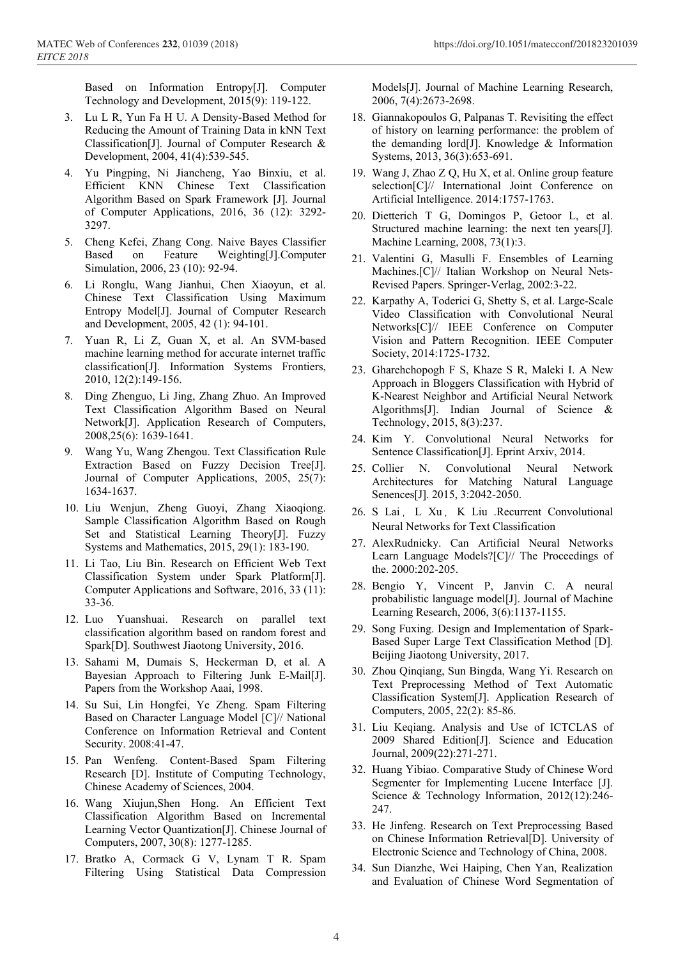Based on Information Entropy[J]. Computer Technology and Development, 2015(9): 119-122.

- 3. Lu L R, Yun Fa H U. A Density-Based Method for Reducing the Amount of Training Data in kNN Text Classification[J]. Journal of Computer Research & Development, 2004, 41(4):539-545.
- 4. Yu Pingping, Ni Jiancheng, Yao Binxiu, et al. Efficient KNN Chinese Text Classification Algorithm Based on Spark Framework [J]. Journal of Computer Applications, 2016, 36 (12): 3292- 3297.
- 5. Cheng Kefei, Zhang Cong. Naive Bayes Classifier Based on Feature Weighting[J].Computer Simulation, 2006, 23 (10): 92-94.
- 6. Li Ronglu, Wang Jianhui, Chen Xiaoyun, et al. Chinese Text Classification Using Maximum Entropy Model[J]. Journal of Computer Research and Development, 2005, 42 (1): 94-101.
- 7. Yuan R, Li Z, Guan X, et al. An SVM-based machine learning method for accurate internet traffic classification[J]. Information Systems Frontiers, 2010, 12(2):149-156.
- 8. Ding Zhenguo, Li Jing, Zhang Zhuo. An Improved Text Classification Algorithm Based on Neural Network[J]. Application Research of Computers, 2008,25(6): 1639-1641.
- 9. Wang Yu, Wang Zhengou. Text Classification Rule Extraction Based on Fuzzy Decision Tree[J]. Journal of Computer Applications, 2005, 25(7): 1634-1637.
- 10. Liu Wenjun, Zheng Guoyi, Zhang Xiaoqiong. Sample Classification Algorithm Based on Rough Set and Statistical Learning Theory[J]. Fuzzy Systems and Mathematics, 2015, 29(1): 183-190.
- 11. Li Tao, Liu Bin. Research on Efficient Web Text Classification System under Spark Platform[J]. Computer Applications and Software, 2016, 33 (11): 33-36.
- 12. Luo Yuanshuai. Research on parallel text classification algorithm based on random forest and Spark[D]. Southwest Jiaotong University, 2016.
- 13. Sahami M, Dumais S, Heckerman D, et al. A Bayesian Approach to Filtering Junk E-Mail[J]. Papers from the Workshop Aaai, 1998.
- 14. Su Sui, Lin Hongfei, Ye Zheng. Spam Filtering Based on Character Language Model [C]// National Conference on Information Retrieval and Content Security. 2008:41-47.
- 15. Pan Wenfeng. Content-Based Spam Filtering Research [D]. Institute of Computing Technology, Chinese Academy of Sciences, 2004.
- 16. Wang Xiujun,Shen Hong. An Efficient Text Classification Algorithm Based on Incremental Learning Vector Quantization[J]. Chinese Journal of Computers, 2007, 30(8): 1277-1285.
- 17. Bratko A, Cormack G V, Lynam T R. Spam Filtering Using Statistical Data Compression

Models[J]. Journal of Machine Learning Research, 2006, 7(4):2673-2698.

- 18. Giannakopoulos G, Palpanas T. Revisiting the effect of history on learning performance: the problem of the demanding lord[J]. Knowledge & Information Systems, 2013, 36(3):653-691.
- 19. Wang J, Zhao Z Q, Hu X, et al. Online group feature selection[C]// International Joint Conference on Artificial Intelligence. 2014:1757-1763.
- 20. Dietterich T G, Domingos P, Getoor L, et al. Structured machine learning: the next ten years[J]. Machine Learning, 2008, 73(1):3.
- 21. Valentini G, Masulli F. Ensembles of Learning Machines.[C]// Italian Workshop on Neural Nets-Revised Papers. Springer-Verlag, 2002:3-22.
- 22. Karpathy A, Toderici G, Shetty S, et al. Large-Scale Video Classification with Convolutional Neural Networks[C]// IEEE Conference on Computer Vision and Pattern Recognition. IEEE Computer Society, 2014:1725-1732.
- 23. Gharehchopogh F S, Khaze S R, Maleki I. A New Approach in Bloggers Classification with Hybrid of K-Nearest Neighbor and Artificial Neural Network Algorithms[J]. Indian Journal of Science & Technology, 2015, 8(3):237.
- 24. Kim Y. Convolutional Neural Networks for Sentence Classification[J]. Eprint Arxiv, 2014.
- 25. Collier N. Convolutional Neural Network Architectures for Matching Natural Language Senences[J]. 2015, 3:2042-2050.
- 26. S Lai, L Xu, K Liu .Recurrent Convolutional Neural Networks for Text Classification
- 27. AlexRudnicky. Can Artificial Neural Networks Learn Language Models?[C]// The Proceedings of the. 2000:202-205.
- 28. Bengio Y, Vincent P, Janvin C. A neural probabilistic language model[J]. Journal of Machine Learning Research, 2006, 3(6):1137-1155.
- 29. Song Fuxing. Design and Implementation of Spark-Based Super Large Text Classification Method [D]. Beijing Jiaotong University, 2017.
- 30. Zhou Qinqiang, Sun Bingda, Wang Yi. Research on Text Preprocessing Method of Text Automatic Classification System[J]. Application Research of Computers, 2005, 22(2): 85-86.
- 31. Liu Keqiang. Analysis and Use of ICTCLAS of 2009 Shared Edition[J]. Science and Education Journal, 2009(22):271-271.
- 32. Huang Yibiao. Comparative Study of Chinese Word Segmenter for Implementing Lucene Interface [J]. Science & Technology Information, 2012(12):246- 247.
- 33. He Jinfeng. Research on Text Preprocessing Based on Chinese Information Retrieval[D]. University of Electronic Science and Technology of China, 2008.
- 34. Sun Dianzhe, Wei Haiping, Chen Yan, Realization and Evaluation of Chinese Word Segmentation of